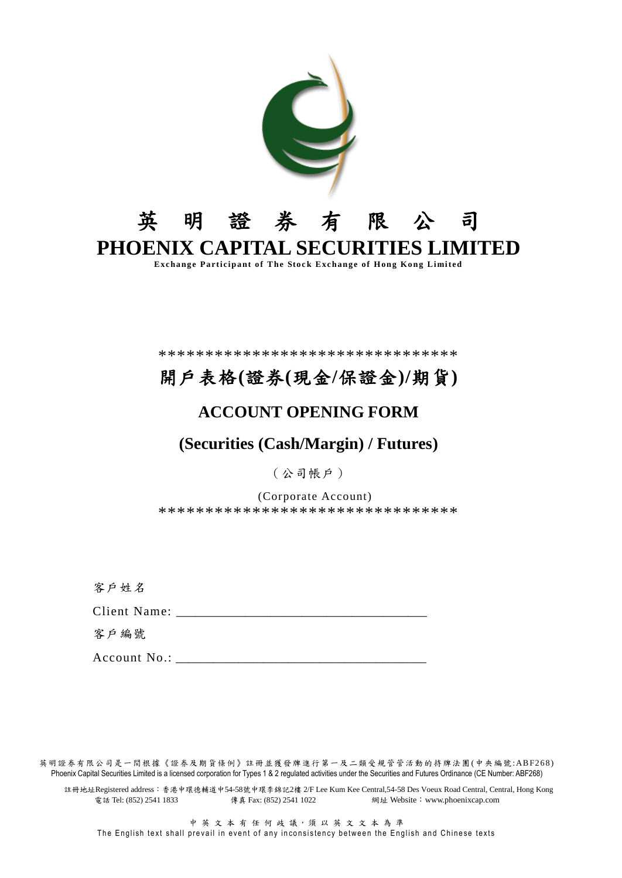

\*\*\*\*\*\*\*\*\*\*\*\*\*\*\*\*\*\*\*\*\*\*\*\*\*\*\*\*\*\*\*\*

# 開戶表格(證券(現金/保證金)/期貨)

# **ACCOUNT OPENING FORM**

# (Securities (Cash/Margin) / Futures)

(公司帳戶)

(Corporate Account) \*\*\*\*\*\*\*\*\*\*\*\*\*\*\*\*\*\*\*\*\*\*\*\*\*\*\*\*\*\*\*\*

客户姓名

Client Name:

客戶編號

Account No.:

英明證券有限公司是一間根據《證券及期貨條例》註冊並獲發牌進行第一及二類受規管管活動的持牌法團(中央編號:ABF268) Phoenix Capital Securities Limited is a licensed corporation for Types 1 & 2 regulated activities under the Securities and Futures Ordinance (CE Number: ABF268)

註冊地址Registered address: 香港中環德輔道中54-58號中環李錦記2樓 2/F Lee Kum Kee Central,54-58 Des Voeux Road Central, Central, Hong Kong 電話 Tel: (852) 2541 1833 傳真 Fax: (852) 2541 1022 網址 Website: www.phoenixcap.com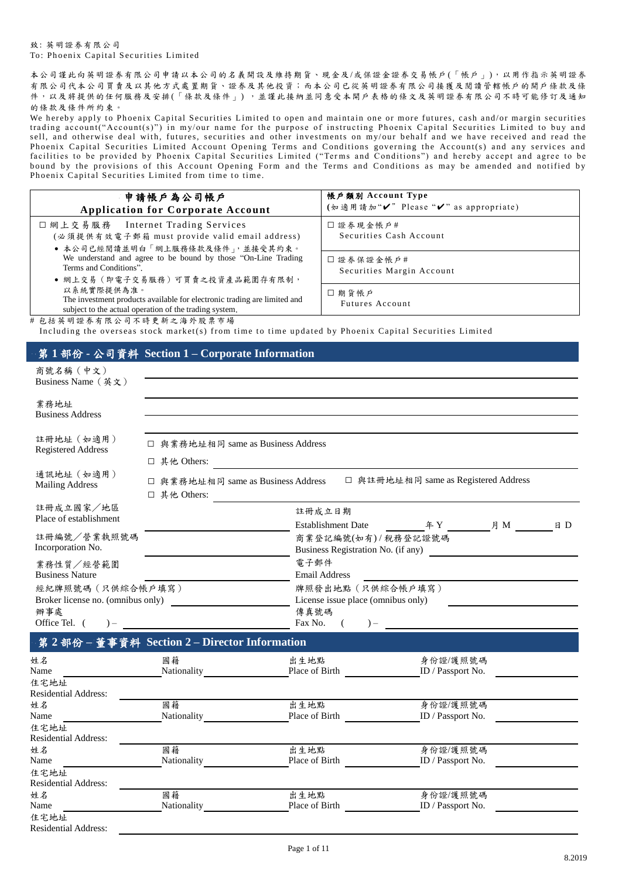### 致: 英明證券有限公司 To: Phoenix Capital Securities Limited

本公司謹此向英明證券有限公司申請以本公司的名義開設及維持期貨、現金及/或保證金證券交易帳戶(「帳戶」),以用作指示英明證券 有限公司代本公司買賣及以其他方式處置期貨、證券及其他投資;而本公司已從英明證券有限公司接獲及閱讀管轄帳戶的開戶條款及條 件,以及將提供的任何服務及安排(「條款及條件」),並謹此接納並同意受本開戶表格的條文及英明證券有限公司不時可能修訂及通知 的條款及條件所約束。

We hereby apply to Phoenix Capital Securities Limited to open and maintain one or more futures, cash and/or margin securities trading account("Account(s)") in my/our name for the purpose of instructing Phoenix Capital Securities Limited to buy and sell, and otherwise deal with, futures, securities and other investments on my/our behalf and we have received and read the Phoenix Capital Securities Limited Account Opening Terms and Conditions governing the Account(s) and any services and<br>facilities to be provided by Phoenix Capital Securities Limited ("Terms and Conditions") and hereby acce bound by the provisions of this Account Opening Form and the Terms and Conditions as may be amended and notified by Phoenix Capital Securities Limited from time to time.

| 申請帳戶為公司帳戶<br><b>Application for Corporate Account</b>                                                                                            | 帳戶類別 Account Type<br>(如適用請加"✔" Please "✔" as appropriate) |
|--------------------------------------------------------------------------------------------------------------------------------------------------|-----------------------------------------------------------|
| □ 網上交易服務 Internet Trading Services<br>(必須提供有效電子郵箱 must provide valid email address)<br>● 本公司已經閱讀並明白「網上服務條款及條件」,並接受其約束。                           | □證券現金帳戶#<br>Securities Cash Account                       |
| We understand and agree to be bound by those "On-Line Trading"<br>Terms and Conditions".<br>● 網上交易(即電子交易服務)可買賣之投資產品範圍存有限制,                       | □ 證券保證金帳戶#<br>Securities Margin Account                   |
| 以系統實際提供為准。<br>The investment products available for electronic trading are limited and<br>subject to the actual operation of the trading system. | □期貨帳戶<br>Futures Account                                  |
| #包括英明證券有限公司不時更新之海外股票市場                                                                                                                           |                                                           |

Including the overseas stock market(s) from time to time updated by Phoenix Capital Securities Limited

# 1部份 - 公司資料 Section 1 - Corporate Information

| $\gamma$ $\sim$ $\gamma$                                                                                             |                                                    |                                                                                                              |                                      |
|----------------------------------------------------------------------------------------------------------------------|----------------------------------------------------|--------------------------------------------------------------------------------------------------------------|--------------------------------------|
| 商號名稱 (中文)<br>Business Name (英文)                                                                                      |                                                    |                                                                                                              |                                      |
| 業務地址<br><b>Business Address</b>                                                                                      |                                                    |                                                                                                              |                                      |
| 註冊地址 (如適用)<br><b>Registered Address</b>                                                                              | □ 與業務地址相同 same as Business Address<br>□ 其他 Others: |                                                                                                              |                                      |
| 通訊地址 (如適用)<br><b>Mailing Address</b>                                                                                 | □ 與業務地址相同 same as Business Address<br>□ 其他 Others: |                                                                                                              | □ 與註冊地址相同 same as Registered Address |
| 註冊成立國家/地區<br>Place of establishment                                                                                  |                                                    | 註冊成立日期                                                                                                       |                                      |
| 註冊編號/營業執照號碼<br>Incorporation No.                                                                                     |                                                    | 商業登記編號(如有) / 稅務登記證號碼                                                                                         | Business Registration No. (if any)   |
| 業務性質/經營範圍<br><b>Business Nature</b><br>經紀牌照號碼(只供綜合帳戶填寫)<br>Broker license no. (omnibus only)<br>辦事處<br>Office Tel. ( |                                                    | 電子郵件<br>Email Address<br>牌照發出地點 (只供綜合帳戶填寫)<br>License issue place (omnibus only)<br>傳真號碼<br>Fax No.<br>$) -$ |                                      |
|                                                                                                                      | 第2部份-董事資料 Section 2-Director Information           |                                                                                                              |                                      |
| 姓名<br>Name<br>住宅地址                                                                                                   | 國籍                                                 | 出生地點<br>Nationality Place of Birth ID / Passport No.                                                         | 身份證/護照號碼                             |
| <b>Residential Address:</b><br>姓名<br>Name<br>住宅地址                                                                    | 國籍<br>Nationality                                  | 出生地點<br>Place of Birth                                                                                       | 身份證/護照號碼<br>ID / Passport No.        |
| <b>Residential Address:</b><br>姓名<br>Name                                                                            | 國籍<br>Nationality                                  | 出生地點<br>Place of Birth                                                                                       | 身份證/護照號碼<br>ID / Passport No.        |
| 住宅地址<br><b>Residential Address:</b><br>姓名                                                                            | 國籍                                                 | 出生地點                                                                                                         | 身份證/護照號碼                             |
| Name<br>住宅地址<br><b>Residential Address:</b>                                                                          | Nationality                                        | Place of Birth                                                                                               | ID / Passport No.                    |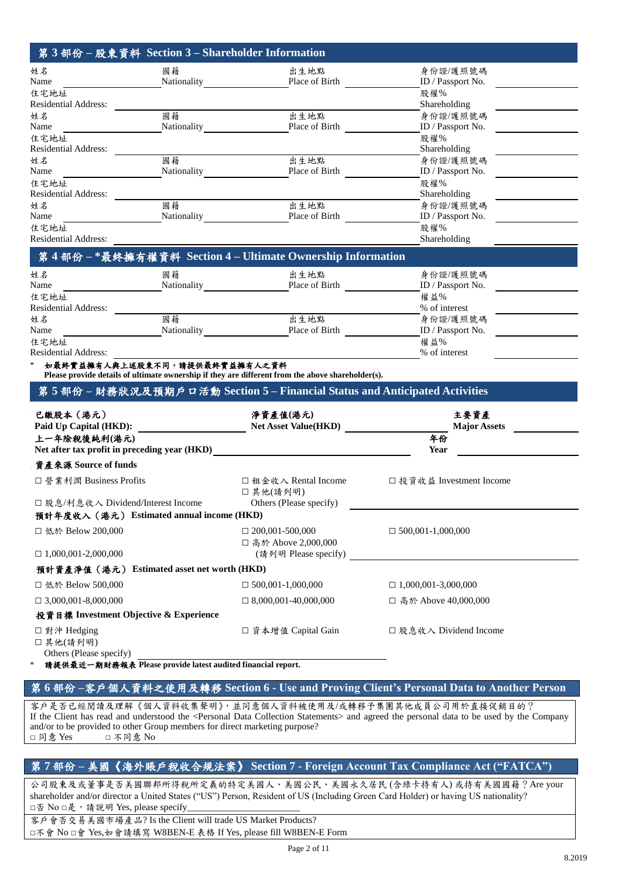| 第3部份-股東資料 Section 3-Shareholder Information                                                         |                                                                                                                      |                               |
|-----------------------------------------------------------------------------------------------------|----------------------------------------------------------------------------------------------------------------------|-------------------------------|
| 姓名<br>國籍                                                                                            | 出生地點                                                                                                                 | 身份證/護照號碼                      |
| Name                                                                                                | Nationality Place of Birth                                                                                           | ID / Passport No.             |
| 住宅地址                                                                                                |                                                                                                                      | 股權%                           |
| <b>Residential Address:</b><br>國籍                                                                   | 出生地點                                                                                                                 | Shareholding                  |
| 姓名<br>Name                                                                                          | Nationality Place of Birth                                                                                           | 身份證/護照號碼<br>ID / Passport No. |
| 住宅地址                                                                                                |                                                                                                                      | 股權%                           |
| <b>Residential Address:</b>                                                                         |                                                                                                                      | Shareholding                  |
| 國籍<br>姓名                                                                                            | 出生地點                                                                                                                 | 身份證/護照號碼                      |
| Name                                                                                                | Nationality Place of Birth                                                                                           | ID / Passport No.             |
| 住宅地址                                                                                                |                                                                                                                      | 股權%                           |
| <b>Residential Address:</b>                                                                         |                                                                                                                      | Shareholding                  |
| 國籍<br>姓名<br>Name                                                                                    | 出生地點<br>Nationality Place of Birth                                                                                   | 身份證/護照號碼<br>ID / Passport No. |
| 住宅地址                                                                                                |                                                                                                                      | 股權%                           |
| Residential Address:                                                                                | <u> 1989 - Johann Barn, amerikan besteman besteman besteman besteman besteman besteman besteman besteman bestema</u> | Shareholding                  |
| 第4部份-*最終擁有權資料 Section 4-Ultimate Ownership Information                                              |                                                                                                                      |                               |
| 姓名<br>國籍                                                                                            | 出生地點                                                                                                                 | 身份證/護照號碼                      |
| Name                                                                                                | Nationality Place of Birth                                                                                           | ID / Passport No.             |
| 住宅地址                                                                                                |                                                                                                                      | 權益%                           |
| <b>Residential Address:</b>                                                                         |                                                                                                                      | % of interest                 |
| 國籍<br>姓名                                                                                            | 出生地點                                                                                                                 | 身份證/護照號碼                      |
| Name                                                                                                | Nationality Place of Birth                                                                                           | ID / Passport No.             |
| 住宅地址<br><b>Residential Address:</b>                                                                 |                                                                                                                      | 權益%<br>% of interest          |
| 如最终實益擁有人與上述股東不同,請提供最終實益擁有人之資料                                                                       |                                                                                                                      |                               |
| Please provide details of ultimate ownership if they are different from the above shareholder(s).   |                                                                                                                      |                               |
| 第5部份 – 財務狀況及預期戶口活動 Section 5 – Financial Status and Anticipated Activities                          |                                                                                                                      |                               |
| 已繳股本(港元)                                                                                            | 淨資產值(港元)                                                                                                             | 主要資產                          |
| Paid Up Capital (HKD):                                                                              | <b>Net Asset Value(HKD)</b>                                                                                          | <b>Major Assets</b>           |
| 上一年除稅後純利(港元)                                                                                        |                                                                                                                      | 年份                            |
| Net after tax profit in preceding year (HKD)<br><u>Net after tax</u> profit in preceding year (HKD) |                                                                                                                      | Year                          |
| 資產來源 Source of funds                                                                                |                                                                                                                      |                               |
| □ 營業利潤 Business Profits                                                                             | □ 租金收入 Rental Income<br>□其他(請列明)                                                                                     | □ 投資收益 Investment Income      |
| □ 股息/利息收入 Dividend/Interest Income                                                                  | Others (Please specify)                                                                                              |                               |
| 預計年度收入(港元) Estimated annual income (HKD)                                                            |                                                                                                                      |                               |
| □ 低於 Below 200,000                                                                                  | $\Box$ 200,001-500,000<br>□ 高於 Above 2,000,000                                                                       | $\Box$ 500,001-1,000,000      |
| $\Box$ 1,000,001-2,000,000                                                                          | (請列明 Please specify)                                                                                                 |                               |
| 預計資產淨值 (港元) Estimated asset net worth (HKD)                                                         |                                                                                                                      |                               |
| □ 低於 Below 500,000                                                                                  | $\Box$ 500,001-1,000,000                                                                                             | $\Box$ 1,000,001-3,000,000    |
| $\Box$ 3,000,001-8,000,000                                                                          | $\Box$ 8,000,001-40,000,000                                                                                          | □ 高於 Above 40,000,000         |
| 投資目標 Investment Objective & Experience                                                              |                                                                                                                      |                               |
| □ 對沖 Hedging                                                                                        | □ 資本增值 Capital Gain                                                                                                  | □ 股息收入 Dividend Income        |
| □其他(請列明)<br>Others (Please specify)                                                                 |                                                                                                                      |                               |

\* 請提供最近一期財務報表 **Please provide latest audited financial report.**

## 第 **6** 部份 **–**客戶個人資料之使用及轉移 **Section 6 - Use and Proving Client's Personal Data to Another Person**

客戶是否已經閱讀及理解《個人資料收集聲明》,並同意個人資料被使用及/或轉移予集團其他成員公司用於直接促銷目的? If the Client has read and understood the <Personal Data Collection Statements> and agreed the personal data to be used by the Company and/or to be provided to other Group members for direct marketing purpose? □ 同意 Yes □ 不同意 No

# 第 **7** 部份 **–** 美國《海外賬戶稅收合規法案》 **Section 7 - Foreign Account Tax Compliance Act ("FATCA")**

公司股東及或董事是否美國聯邦所得稅所定義的特定美國人、美國公民、美國永久居民 (含綠卡持有人) 或持有美國國籍?Are your shareholder and/or director a United States ("US") Person, Resident of US (Including Green Card Holder) or having US nationality? □否 No □是, 請說明 Yes, please specify

客戶會否交易美國市場產品? Is the Client will trade US Market Products?

□不會 No □會 Yes,如會請填寫 W8BEN-E 表格 If Yes, please fill W8BEN-E Form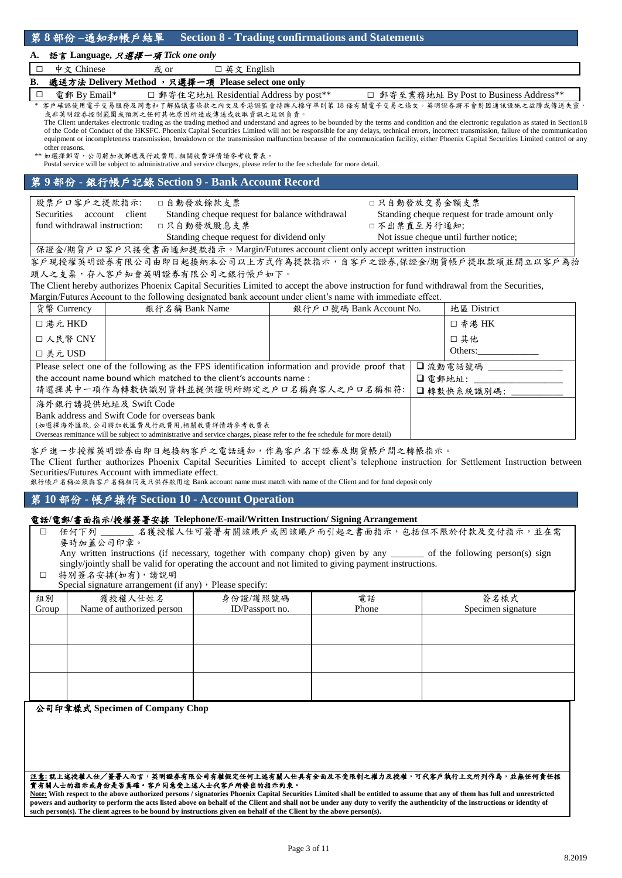### **A.** 語言 **Language,** 只選擇一項 *Tick one only*

| <b>R</b> |               |      | - 减送大法 Delivery Method 、口澤運一両 Please select one only |  |
|----------|---------------|------|------------------------------------------------------|--|
|          | │□ 中文 Chinese | 或 or | □ 英文 English                                         |  |

<u> 遽送方法 Delivery Method ,只選擇一項 Please select one onl</u> □ 電郵 By Email\* □ 郵寄住宅地址 Residential Address by post\*\* □ 郵寄至業務地址 By Post to Business Address\*\* 客戶確認使用電子交易服務及同意和了解協議書條款之內文及香港證監會持牌人操守準則第 18 條有關電子交易之條文。英明證券將不會對因通訊設施之故障或傳送失靈

或非英明證券控制範圍或預測之任何其他原因所造成傳送或收取資訊之延誤負責。 The Client undertakes electronic trading as the trading method and understand and agrees to be bounded by the terms and condition and the electronic regulation as stated in Section18

of the Code of Conduct of the HKSFC. Phoenix Capital Securities Limited will not be responsible for any delays, technical errors, incorrect transmission, failure of the communication equipment or incompleteness transmission, breakdown or the transmission malfunction because of the communication facility, either Phoenix Capital Securities Limited control or any other reasons.

如選擇郵寄,公司將加收郵遞及行政費用, 相關收費詳情請參考收費表。

Postal service will be subject to administrative and service charges, please refer to the fee schedule for more detail.

# 第 **9** 部份 **-** 銀行帳戶記錄 **Section 9 - Bank Account Record**

| 股票戶口客戶之提款指示:                                                                        | □自動發放餘款支票                                      | □只自動發放交易金額支票                                  |  |
|-------------------------------------------------------------------------------------|------------------------------------------------|-----------------------------------------------|--|
| client<br>Securities<br>account                                                     | Standing cheque request for balance withdrawal | Standing cheque request for trade amount only |  |
| fund withdrawal instruction:                                                        | □只自動發放股息支票                                     | 口不出票直至另行通知;                                   |  |
|                                                                                     | Standing cheque request for dividend only      | Not issue cheque until further notice:        |  |
| 保證金/期貨戶口客戶只接受書面通知提款指示。Margin/Futures account client only accept written instruction |                                                |                                               |  |

客戶現授權英明證券有限公司由即日起接納本公司以上方式作為提款指示,自客戶之證券,保證金/期貨帳戶提取款項並開立以客戶為抬 頭人之支票,存入客戶知會英明證券有限公司之銀行帳戶如下。

The Client hereby authorizes Phoenix Capital Securities Limited to accept the above instruction for fund withdrawal from the Securities,

Margin/Futures Account to the following designated bank account under client's name with immediate effect.

| 貨幣 Currency                                   | 銀行名稱 Bank Name                                                                                                               | 銀行戶口號碼 Bank Account No. |         | 地區 District |
|-----------------------------------------------|------------------------------------------------------------------------------------------------------------------------------|-------------------------|---------|-------------|
| □ 港元 HKD                                      |                                                                                                                              |                         |         | □ 香港 HK     |
| □ 人民幣 CNY                                     |                                                                                                                              |                         |         | □ 其他        |
| □ 美元 USD                                      |                                                                                                                              |                         |         | Others:     |
|                                               | Please select one of the following as the FPS identification information and provide proof that                              |                         |         | □流動電話號碼     |
|                                               | the account name bound which matched to the client's accounts name:                                                          |                         | □ 電郵地址: |             |
|                                               | 請選擇其中一項作為轉數快識別資料並提供證明所綁定之戶口名稱與客人之戶口名稱相符:                                                                                     |                         |         | □轉數快系統識別碼:  |
|                                               | 海外銀行請提供地址及 Swift Code                                                                                                        |                         |         |             |
| Bank address and Swift Code for overseas bank |                                                                                                                              |                         |         |             |
|                                               | (如選擇海外匯款,公司將加收匯費及行政費用,相關收費詳情請參考收費表                                                                                           |                         |         |             |
|                                               | Overseas remittance will be subject to administrative and service charges, please refer to the fee schedule for more detail) |                         |         |             |

客戶進一步授權英明證券由即日起接納客戶之電話通知,作為客戶名下證劵及期貨帳戶間之轉帳指示。

The Client further authorizes Phoenix Capital Securities Limited to accept client's telephone instruction for Settlement Instruction between Securities/Futures Account with immediate effect.

銀行帳戶名稱必須與客戶名稱相同及只供存款用途 Bank account name must match with name of the Client and for fund deposit only

## 第 **10** 部份 **-** 帳戶操作 **Section 10 - Account Operation**

### 電話**/**電郵**/**書面指示**/**授權簽署安排 **Telephone/E-mail/Written Instruction/ Signing Arrangement**

□ 任何下列 无 名獲授權人仕可簽署有關該賬戶或因該賬戶而引起之書面指示,包括但不限於付款及交付指示,並在需 要時加蓋公司印章。

Any written instructions (if necessary, together with company chop) given by any \_\_\_\_\_\_\_ of the following person(s) sign singly/jointly shall be valid for operating the account and not limited to giving payment instructions.

□ 特別簽名安排(如有),請說明 Special signature arrangement (if any), Please specify:

|             | ------ <i>--</i> -------             |                             |             |                            |
|-------------|--------------------------------------|-----------------------------|-------------|----------------------------|
| 組別<br>Group | 獲授權人仕姓名<br>Name of authorized person | 身份證/護照號碼<br>ID/Passport no. | 電話<br>Phone | 簽名樣式<br>Specimen signature |
|             |                                      |                             |             |                            |
|             |                                      |                             |             |                            |
|             |                                      |                             |             |                            |
|             |                                      |                             |             |                            |
|             |                                      |                             |             |                            |

公司印章樣式 **Specimen of Company Chop**

#### 注意**:** 就上述授權人仕/簽署人而言,英明證券有限公司有權假定任何上述有關人仕具有全面及不受限制之權力及授權,可代客戶執行上文所列作為,並無任何責任核 實有關人士的指示或身份是否真確。客戶同意受上述人士代客戶所發出的指示約束。

**Note: With respect to the above authorized persons / signatories Phoenix Capital Securities Limited shall be entitled to assume that any of them has full and unrestricted**  powers and authority to perform the acts listed above on behalf of the Client and shall not be under any duty to verify the authenticity of the instructions or identity of **such person(s). The client agrees to be bound by instructions given on behalf of the Client by the above person(s).**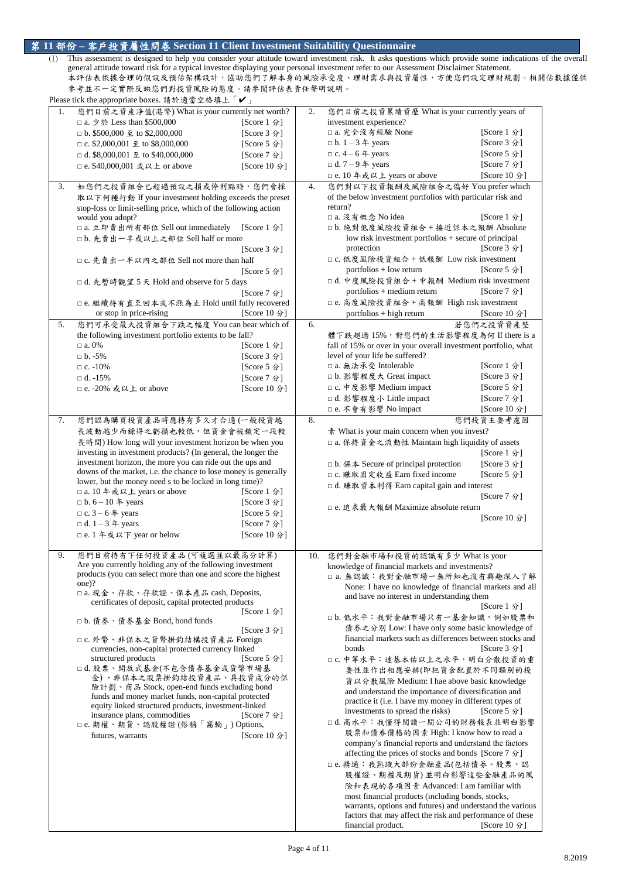# 第 **11** 部份 **–** 客戶投資屬性問卷 **Section 11 Client Investment Suitability Questionnaire**

(1) This assessment is designed to help you consider your attitude toward investment risk. It asks questions which provide some indications of the overall general attitude toward risk for a typical investor displaying your personal investment refer to our Assessment Disclaimer Statement. 本評估表依據合理的假設及預估架構設計,協助您們了解本身的風險承受度、理財需求與投資屬性,方便您們設定理財規劃。相關估數據僅供 參考並不一定實際反映您們對投資風險的態度。請參閱評估表責任聲明說明。 Please tick the appropriate boxes. 請於適當空格填上「✔

|    | $\Gamma$ rease trex the appropriate boxes. $\eta_1 \wedge \eta_2 \equiv \pm \gamma_1 \wedge \cdots \wedge \cdots$ |              |     |                                                                    |              |
|----|-------------------------------------------------------------------------------------------------------------------|--------------|-----|--------------------------------------------------------------------|--------------|
| 1. | 您們目前之資產淨值(港幣) What is your currently net worth?                                                                   |              | 2.  | 您們目前之投資累績資歷 What is your currently years of                        |              |
|    | □ a. 少於 Less than \$500,000                                                                                       | [Score 1 分]  |     | investment experience?                                             |              |
|    | $\Box$ b. \$500,000 $\leq$ to \$2,000,000                                                                         | [Score 3 分]  |     | □ a. 完全沒有經驗 None                                                   | [Score 1 分]  |
|    |                                                                                                                   |              |     |                                                                    |              |
|    | $\Box$ c. \$2,000,001 $\mathcal{L}$ to \$8,000,000                                                                | [Score 5 分]  |     | $\n  b. 1 - 3 \n  4 years$                                         | [Score 3 分]  |
|    | $\Box$ d. \$8,000,001 $\mathbf{\underline{4}}$ to \$40,000,000                                                    | [Score 7 分]  |     | $\Box$ c. 4 – 6 $\&$ years                                         | [Score 5 分]  |
|    | □ e. \$40,000,001 或以上 or above                                                                                    |              |     | $\Box$ d. 7 – 9 $\#$ years                                         | [Score 7 分]  |
|    |                                                                                                                   | [Score 10 分] |     |                                                                    |              |
|    |                                                                                                                   |              |     | □ e. 10 年或以上 years or above                                        | [Score 10 分] |
| 3. | 如您們之投資組合已超過預設之損或停利點時,您們會採                                                                                         |              | 4.  | 您們對以下投資報酬及風險組合之偏好 You prefer which                                 |              |
|    | 取以下何種行動 If your investment holding exceeds the preset                                                             |              |     | of the below investment portfolios with particular risk and        |              |
|    |                                                                                                                   |              |     |                                                                    |              |
|    | stop-loss or limit-selling price, which of the following action                                                   |              |     | return?                                                            |              |
|    | would you adopt?                                                                                                  |              |     | □ a. 沒有概念 No idea                                                  | [Score 1 分]  |
|    | □ a. 立即賣出所有部位 Sell out immediately                                                                                | [Score 1 分]  |     | □b. 絶對低度風險投資組合+接近保本之報酬 Absolute                                    |              |
|    |                                                                                                                   |              |     |                                                                    |              |
|    | □b. 先賣出一半或以上之部位 Sell half or more                                                                                 |              |     | low risk investment portfolios $+$ secure of principal             |              |
|    |                                                                                                                   | [Score 3 分]  |     | protection                                                         | [Score 3 分]  |
|    | □ c. 先賣出一半以內之部位 Sell not more than half                                                                           |              |     | □ c. 低度風險投資組合 + 低報酬 Low risk investment                            |              |
|    |                                                                                                                   |              |     | portfolios $+$ low return                                          | [Score 5 分]  |
|    |                                                                                                                   | [Score 5 分]  |     |                                                                    |              |
|    | □ d. 先暫時觀望 5 天 Hold and observe for 5 days                                                                        |              |     | □ d. 中度風險投資組合 + 中報酬 Medium risk investment                         |              |
|    |                                                                                                                   | [Score 7 分]  |     | portfolios + medium return                                         | [Score 7 分]  |
|    |                                                                                                                   |              |     |                                                                    |              |
|    | □ e. 繼續持有直至回本或不漲為止 Hold until fully recovered                                                                     |              |     | □ e. 高度風險投資組合 + 高報酬 High risk investment                           |              |
|    | or stop in price-rising                                                                                           | [Score 10 分] |     | portfolios + high return                                           | [Score 10 分] |
| 5. | 您們可承受最大投資組合下跌之幅度 You can bear which of                                                                            |              | 6.  |                                                                    | 若您們之投資資產整    |
|    |                                                                                                                   |              |     |                                                                    |              |
|    | the following investment portfolio extents to be fall?                                                            |              |     | 體下跌超過15%,對您們的生活影響程度為何 If there is a                                |              |
|    | $\Box$ a. 0%                                                                                                      | [Score 1 分]  |     | fall of 15% or over in your overall investment portfolio, what     |              |
|    | $\n  b. -5%$                                                                                                      | [Score 3 分]  |     | level of your life be suffered?                                    |              |
|    | $\Box$ c. -10%                                                                                                    |              |     | □ a. 無法承受 Intolerable                                              | [Score 1 分]  |
|    |                                                                                                                   | [Score 5 分]  |     |                                                                    |              |
|    | $\Box$ d. -15%                                                                                                    | [Score 7 分]  |     | □b. 影響程度大 Great impact                                             | [Score 3 分]  |
|    | □ e. -20% 或以上 or above                                                                                            | [Score 10 分] |     | □ c. 中度影響 Medium impact                                            | [Score 5 分]  |
|    |                                                                                                                   |              |     | □ d. 影響程度小 Little impact                                           | [Score 7 分]  |
|    |                                                                                                                   |              |     |                                                                    |              |
|    |                                                                                                                   |              |     | □ e. 不會有影響 No impact                                               | [Score 10 分] |
| 7. | 您們認為購買投資產品時應持有多久才合適(一般投資越                                                                                         |              | 8.  |                                                                    | 您們投資主要考慮因    |
|    |                                                                                                                   |              |     |                                                                    |              |
|    | 長波動越少而錄得之虧損也較低,但資金會被鎖定一段較                                                                                         |              |     | 素 What is your main concern when you invest?                       |              |
|    | 長時間) How long will your investment horizon be when you                                                            |              |     | □ a. 保持資金之流動性 Maintain high liquidity of assets                    |              |
|    | investing in investment products? (In general, the longer the                                                     |              |     |                                                                    | [Score 1 分]  |
|    | investment horizon, the more you can ride out the ups and                                                         |              |     |                                                                    |              |
|    |                                                                                                                   |              |     | $\Box$ b. $\Re$ $\&$ Secure of principal protection                | [Score 3 分]  |
|    | downs of the market, i.e. the chance to lose money is generally                                                   |              |     | □ c. 賺取固定收益 Earn fixed income                                      | [Score 5 分]  |
|    | lower, but the money need s to be locked in long time)?                                                           |              |     | □ d. 賺取資本利得 Earn capital gain and interest                         |              |
|    | □ a. 10 年或以上 years or above                                                                                       | [Score 1 分]  |     |                                                                    |              |
|    | $\Box$ b. 6 – 10 年 years                                                                                          | [Score 3 分]  |     |                                                                    | [Score 7 分]  |
|    |                                                                                                                   |              |     | □ e. 追求最大報酬 Maximize absolute return                               |              |
|    | $\Box$ c. 3 – 6 $\&$ years                                                                                        | [Score 5 分]  |     |                                                                    | [Score 10 分] |
|    | $\Box$ d. 1 – 3 $\#$ years                                                                                        | [Score 7 分]  |     |                                                                    |              |
|    | □ e. 1 年或以下 year or below                                                                                         | [Score 10 分] |     |                                                                    |              |
|    |                                                                                                                   |              |     |                                                                    |              |
|    |                                                                                                                   |              |     |                                                                    |              |
| 9. | 您們目前持有下任何投資產品(可複選並以最高分計算)                                                                                         |              | 10. | 您們對金融市場和投資的認識有多少 What is your                                      |              |
|    | Are you currently holding any of the following investment                                                         |              |     | knowledge of financial markets and investments?                    |              |
|    | products (you can select more than one and score the highest                                                      |              |     |                                                                    |              |
|    | one)?                                                                                                             |              |     | □ a. 無認識: 我對金融市場一無所知也沒有興趣深入了解                                      |              |
|    |                                                                                                                   |              |     | None: I have no knowledge of financial markets and all             |              |
|    | □ a. 現金、存款、存款證、保本產品 cash, Deposits,                                                                               |              |     | and have no interest in understanding them                         |              |
|    | certificates of deposit, capital protected products                                                               |              |     |                                                                    | [Score 1 分]  |
|    |                                                                                                                   | [Score 1 分]  |     |                                                                    |              |
|    | □b. 債券、債券基金 Bond, bond funds                                                                                      |              |     | □b. 低水平: 我對金融市場只有一基金知識, 例如股票和                                      |              |
|    |                                                                                                                   | [Score 3 分]  |     | 債券之分別 Low: I have only some basic knowledge of                     |              |
|    | □ c. 外幣、非保本之貨幣掛釣結構投資產品 Foreign                                                                                    |              |     | financial markets such as differences between stocks and           |              |
|    |                                                                                                                   |              |     | bonds                                                              |              |
|    | currencies, non-capital protected currency linked                                                                 |              |     |                                                                    | [Score 3 分]  |
|    | structured products                                                                                               | [Score 5 分]  |     | □ c. 中等水平: 達基本佑以上之水平, 明白分散投資的重                                     |              |
|    | □d. 股票、開放式基金(不包含債券基金或貨幣市場基                                                                                        |              |     | 要性並作出相應安排(即把資金配置於不同類別的投                                            |              |
|    | 金)、非保本之股票掛釣結投資產品、具投資成分的保                                                                                          |              |     |                                                                    |              |
|    | 險計劃、商品 Stock, open-end funds excluding bond                                                                       |              |     | 資以分散風險 Medium: I hae above basic knowledge                         |              |
|    | funds and money market funds, non-capital protected                                                               |              |     | and understand the importance of diversification and               |              |
|    | equity linked structured products, investment-linked                                                              |              |     | practice it (i.e. I have my money in different types of            |              |
|    |                                                                                                                   |              |     | investments to spread the risks)                                   | [Score 5 分]  |
|    | insurance plans, commodities                                                                                      | [Score 7 分]  |     |                                                                    |              |
|    | □e. 期權、期貨、認股權證(俗稱「窩輪」)Options,                                                                                    |              |     | □d. 高水平: 我懂得閱讀一間公司的財務報表並明白影響                                       |              |
|    | futures, warrants                                                                                                 | [Score 10 分] |     | 股票和債券價格的因素 High: I know how to read a                              |              |
|    |                                                                                                                   |              |     | company's financial reports and understand the factors             |              |
|    |                                                                                                                   |              |     | affecting the prices of stocks and bonds [Score 7 $\hat{\gamma}$ ] |              |
|    |                                                                                                                   |              |     |                                                                    |              |
|    |                                                                                                                   |              |     | □e. 精通: 我熟識大部份金融產品(包括債券、股票、認                                       |              |
|    |                                                                                                                   |              |     | 股權證、期權及期貨)並明白影響這些金融產品的風                                            |              |
|    |                                                                                                                   |              |     | 險和表現的各項因素 Advanced: I am familiar with                             |              |
|    |                                                                                                                   |              |     |                                                                    |              |
|    |                                                                                                                   |              |     | most financial products (including bonds, stocks,                  |              |
|    |                                                                                                                   |              |     | warrants, options and futures) and understand the various          |              |
|    |                                                                                                                   |              |     | factors that may affect the risk and performance of these          |              |
|    |                                                                                                                   |              |     | financial product.                                                 | [Score 10 分] |
|    |                                                                                                                   |              |     |                                                                    |              |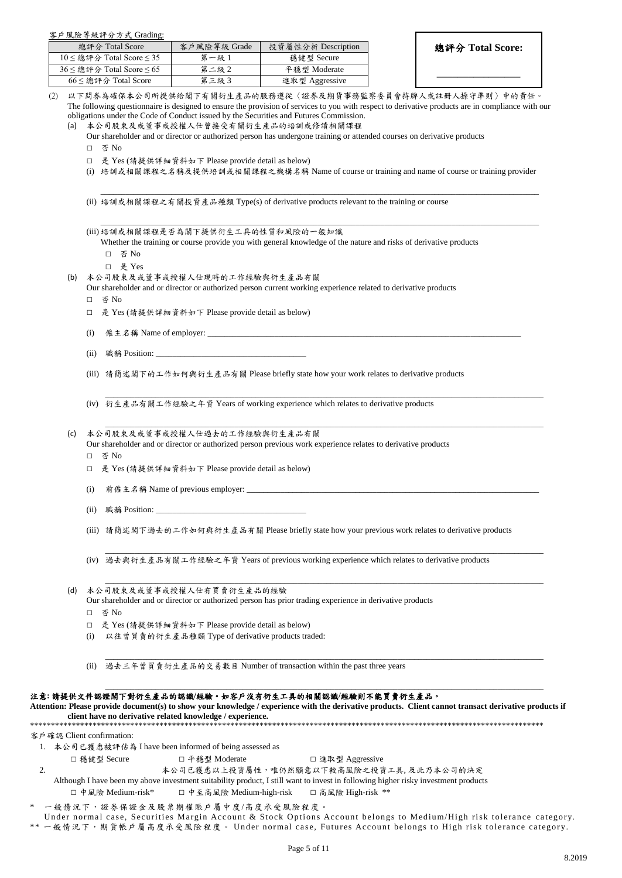#### 客戶風險等級評分方式 Grading:

| 總評分 Total Score                     | 客戶風險等級 Grade | 投資屬性分析 Description |
|-------------------------------------|--------------|--------------------|
| $10 \leq$ 總評分 Total Score $\leq 35$ | 第一級 1        | 穩健型 Secure         |
| $36 \leq$ 總評分 Total Score $\leq 65$ | 第二級2         | 平穩型 Moderate       |
| $66 \leq$ 總評分 Total Score           | 第三級3         | 進取型 Aggressive     |

**\_\_\_\_\_\_\_\_\_\_\_\_\_\_\_\_**

- 以下問券為確保本公司所提供給閣下有關衍生產品的服務遵從〈證券及期貨事務監察委員會持牌人或註冊人操守準則〉中的責任 The following questionnaire is designed to ensure the provision of services to you with respect to derivative products are in compliance with our obligations under the Code of Conduct issued by the Securities and Futures Commission.
	- (a) 本公司股東及或董事或授權人仕曾接受有關衍生產品的培訓或修讀相關課程
		- Our shareholder and or director or authorized person has undergone training or attended courses on derivative products
		- □ 否 No
		- □ 是 Yes (請提供詳細資料如下 Please provide detail as below)
		- (i) 培訓或相關課程之名稱及提供培訓或相關課程之機構名稱 Name of course or training and name of course or training provider

\_\_\_\_\_\_\_\_\_\_\_\_\_\_\_\_\_\_\_\_\_\_\_\_\_\_\_\_\_\_\_\_\_\_\_\_\_\_\_\_\_\_\_\_\_\_\_\_\_\_\_\_\_\_\_\_\_\_\_\_\_\_\_\_\_\_\_\_\_\_\_\_\_\_\_\_\_\_\_\_\_\_\_\_\_\_\_\_\_\_\_\_\_\_\_\_\_\_\_\_\_\_\_\_\_

\_\_\_\_\_\_\_\_\_\_\_\_\_\_\_\_\_\_\_\_\_\_\_\_\_\_\_\_\_\_\_\_\_\_\_\_\_\_\_\_\_\_\_\_\_\_\_\_\_\_\_\_\_\_\_\_\_\_\_\_\_\_\_\_\_\_\_\_\_\_\_\_\_\_\_\_\_\_\_\_\_\_\_\_\_\_\_\_\_\_\_\_\_\_\_\_\_\_\_\_\_\_\_\_\_

\_\_\_\_\_\_\_\_\_\_\_\_\_\_\_\_\_\_\_\_\_\_\_\_\_\_\_\_\_\_\_\_\_\_\_\_\_\_\_\_\_\_\_\_\_\_\_\_\_\_\_\_\_\_\_\_\_\_\_\_\_\_\_\_\_\_\_\_\_\_\_\_\_\_\_\_\_\_\_\_\_\_\_\_\_\_\_\_\_\_\_\_\_\_\_\_\_\_\_\_\_\_\_\_\_

\_\_\_\_\_\_\_\_\_\_\_\_\_\_\_\_\_\_\_\_\_\_\_\_\_\_\_\_\_\_\_\_\_\_\_\_\_\_\_\_\_\_\_\_\_\_\_\_\_\_\_\_\_\_\_\_\_\_\_\_\_\_\_\_\_\_\_\_\_\_\_\_\_\_\_\_\_\_\_\_\_\_\_\_\_\_\_\_\_\_\_\_\_\_\_\_\_\_\_\_\_\_\_\_\_

\_\_\_\_\_\_\_\_\_\_\_\_\_\_\_\_\_\_\_\_\_\_\_\_\_\_\_\_\_\_\_\_\_\_\_\_\_\_\_\_\_\_\_\_\_\_\_\_\_\_\_\_\_\_\_\_\_\_\_\_\_\_\_\_\_\_\_\_\_\_\_\_\_\_\_\_\_\_\_\_\_\_\_\_\_\_\_\_\_\_\_\_\_\_\_\_\_\_\_\_\_\_\_\_\_

\_\_\_\_\_\_\_\_\_\_\_\_\_\_\_\_\_\_\_\_\_\_\_\_\_\_\_\_\_\_\_\_\_\_\_\_\_\_\_\_\_\_\_\_\_\_\_\_\_\_\_\_\_\_\_\_\_\_\_\_\_\_\_\_\_\_\_\_\_\_\_\_\_\_\_\_\_\_\_\_\_\_\_\_\_\_\_\_\_\_\_\_\_\_\_\_\_\_\_\_\_\_\_\_\_

\_\_\_\_\_\_\_\_\_\_\_\_\_\_\_\_\_\_\_\_\_\_\_\_\_\_\_\_\_\_\_\_\_\_\_\_\_\_\_\_\_\_\_\_\_\_\_\_\_\_\_\_\_\_\_\_\_\_\_\_\_\_\_\_\_\_\_\_\_\_\_\_\_\_\_\_\_\_\_\_\_\_\_\_\_\_\_\_\_\_\_\_\_\_\_\_\_\_\_\_\_\_\_\_\_

\_\_\_\_\_\_\_\_\_\_\_\_\_\_\_\_\_\_\_\_\_\_\_\_\_\_\_\_\_\_\_\_\_\_\_\_\_\_\_\_\_\_\_\_\_\_\_\_\_\_\_\_\_\_\_\_\_\_\_\_\_\_\_\_\_\_\_\_\_\_\_\_\_\_\_\_\_\_\_\_\_\_\_\_\_\_\_\_\_\_\_\_\_\_\_\_\_\_\_\_\_\_\_\_\_

- (ii) 培訓或相關課程之有關投資產品種類 Type(s) of derivative products relevant to the training or course
- (iii) 培訓或相關課程是否為閣下提供衍生工具的性質和風險的一般知識

Whether the training or course provide you with general knowledge of the nature and risks of derivative products □ 否 No

- □ 是 Yes
- (b) 本公司股東及或董事或授權人仕現時的工作經驗與衍生產品有關
	- Our shareholder and or director or authorized person current working experience related to derivative products
	- □ 否 No
	- □ 是 Yes (請提供詳細資料如下 Please provide detail as below)
	- (i) 僱主名稱 Name of employer:
	- (ii) 職稱 Position: \_\_\_\_\_\_\_\_\_\_\_\_\_\_\_\_\_\_\_\_\_\_\_\_\_\_\_\_\_\_\_\_\_\_\_\_
	- (iii) 請簡述閣下的工作如何與衍生產品有關 Please briefly state how your work relates to derivative products
	- (iv) 衍生產品有關工作經驗之年資 Years of working experience which relates to derivative products

#### (c) 本公司股東及或董事或授權人仕過去的工作經驗與衍生產品有關

Our shareholder and or director or authorized person previous work experience relates to derivative products

- □ 否 No
- □ 是 Yes (請提供詳細資料如下 Please provide detail as below)
- (i) 前僱主名稱 Name of previous employer:
- (ii) 職稱 Position:
- (iii) 請簡述閣下過去的工作如何與衍生產品有關 Please briefly state how your previous work relates to derivative products
- (iv) 過去與衍生產品有關工作經驗之年資 Years of previous working experience which relates to derivative products
- (d) 本公司股東及或董事或授權人仕有買賣衍生產品的經驗
	- Our shareholder and or director or authorized person has prior trading experience in derivative products
	- □ 否 No
	- □ 是 Yes (請提供詳細資料如下 Please provide detail as below)
	- (i) 以往曾買賣的衍生產品種類 Type of derivative products traded:
	- (ii) 過去三年曾買賣衍生產品的交易數目 Number of transaction within the past three years

#### 注意**:** 請提供文件認證閣下對衍生產品的認識**/**經驗。如客戶沒有衍生工具的相關認識**/**經驗則不能買賣衍生產品。

**Attention: Please provide document(s) to show your knowledge / experience with the derivative products. Client cannot transact derivative products if client have no derivative related knowledge / experience.**  \*\*\*\*\*\*\*\*\*\*\*\*\*\*\*\*\*\*\*\*\*\*\*\*\*\*\*\*\*\*\*\*\*\*\*\*\*\*\*\*\*\*\*\*\*\*\*\*\*\*\*\*\*\*\*\*\*\*\*\*\*\*\*\*\*\*\*\*\*\*\*\*\*\*\*\*\*\*\*\*\*\*\*\*\*\*\*\*\*\*\*\*\*\*\*\*\*\*\*\*\*\*\*\*\*\*\*\*\*\*\*\*\*\*\*\*\*\*\*\*\*\*\*

客戶確認 Client confirmation:

- 1. 本公司已獲悉被評估為 I have been informed of being assessed as
	- □ 穩健型 Secure □ 平穩型 Moderate □ □ 進取型 Aggressive
- 2. 2. 本公司已獲悉以上投資屬性,唯仍然願意以下較高風險之投資工具, 及此乃本公司的決定
	- Although I have been my above investment suitability product, I still want to invest in following higher risky investment products
	- □ 中風險 Medium-risk\* □ 中至高風險 Medium-high-risk □ 高風險 High-risk \*\*

一般情況下,證券保證金及股票期權賬戶屬中度/高度承受風險程度。

Under normal case, Securities Margin Account & Stock Options Account belongs to Medium/High risk tolerance category. \*\* 一般情況下,期貨帳戶屬高度承受風險程度。 Under normal case, Futures Account belongs to High risk tolerance category.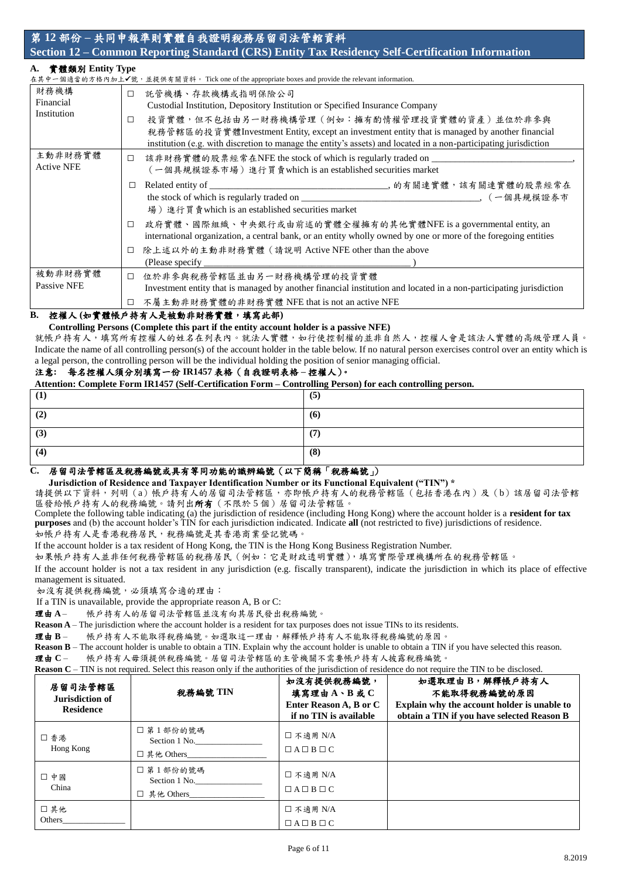# 第 **12** 部份 **–** 共同申報準則實體自我證明稅務居留司法管輨資料 **Section 12 – Common Reporting Standard (CRS) Entity Tax Residency Self-Certification Information**

# **A.** 實體類別 **Entity Type**

| И ИЗЖЯЛІ ШІННУ ІУРС |        | 在其中一個適當的方格內加上✔號,並提供有關資料。 Tick one of the appropriate boxes and provide the relevant information.                   |
|---------------------|--------|--------------------------------------------------------------------------------------------------------------------|
|                     |        |                                                                                                                    |
| 財務機構                | П      | 託管機構、存款機構或指明保險公司                                                                                                   |
| Financial           |        | Custodial Institution, Depository Institution or Specified Insurance Company                                       |
| Institution         | □      | 投資實體,但不包括由另一財務機構管理 (例如:擁有酌情權管理投資實體的資產)並位於非參與                                                                       |
|                     |        | 税務管轄區的投資實體 Investment Entity, except an investment entity that is managed by another financial                     |
|                     |        | institution (e.g. with discretion to manage the entity's assets) and located in a non-participating jurisdiction   |
| 主動非財務實體             | $\Box$ | 該非財務實體的股票經常在NFE the stock of which is regularly traded on ____                                                     |
| <b>Active NFE</b>   |        | (一個具規模證券市場) 進行買賣which is an established securities market                                                          |
|                     |        |                                                                                                                    |
|                     |        |                                                                                                                    |
|                     |        | 場) 進行買賣which is an established securities market                                                                   |
|                     | □      | 政府實體、國際組織、中央銀行或由前述的實體全權擁有的其他實體NFE is a governmental entity, an                                                     |
|                     |        | international organization, a central bank, or an entity wholly owned by one or more of the foregoing entities     |
|                     | □      | 除上述以外的主動非財務實體 (請說明 Active NFE other than the above                                                                 |
|                     |        | (Please specify                                                                                                    |
| 被動非財務實體             | $\Box$ | 位於非參與稅務管轄區並由另一財務機構管理的投資實體                                                                                          |
| <b>Passive NFE</b>  |        | Investment entity that is managed by another financial institution and located in a non-participating jurisdiction |
|                     | □      | 不屬主動非財務實體的非財務實體 NFE that is not an active NFE                                                                      |

## **B.** 控權人 **(**如實體帳戶持有人是被動非財務實體,填寫此部**)**

### **Controlling Persons (Complete this part if the entity account holder is a passive NFE)**

就帳戶持有人,填寫所有控權人的姓名在列表內。就法人實體,如行使控制權的並非自然人,控權人會是該法人實體的高級管理人員。 Indicate the name of all controlling person(s) of the account holder in the table below. If no natural person exercises control over an entity which is a legal person, the controlling person will be the individual holding the position of senior managing official.

### 注意**:** 每名控權人須分別填寫一份 **IR1457** 表格(自我證明表格 **–** 控權人)。

**Attention: Complete Form IR1457 (Self-Certification Form – Controlling Person) for each controlling person.** 

| $\mathbf{I}$ | (5) |
|--------------|-----|
| (2)          | (6) |
| (3)          | (7) |
| (4)          | (8) |

### **C.** 居留司法管轄區及稅務編號或具有等同功能的識辨編號(以下簡稱「稅務編號」)

**Jurisdiction of Residence and Taxpayer Identification Number or its Functional Equivalent ("TIN") \*** 

請提供以下資料,列明 (a)帳戶持有人的居留司法管轄區,亦即帳戶持有人的稅務管轄區 (包括香港在內)及 (b) 該居留司法管轄 區發給帳戶持有人的稅務編號。請列出所有(不限於 5 個)居留司法管轄區。

Complete the following table indicating (a) the jurisdiction of residence (including Hong Kong) where the account holder is a **resident for tax purposes** and (b) the account holder's TIN for each jurisdiction indicated. Indicate **all** (not restricted to five) jurisdictions of residence. 如帳戶持有人是香港稅務居民,稅務編號是其香港商業登記號碼。

If the account holder is a tax resident of Hong Kong, the TIN is the Hong Kong Business Registration Number.

如果帳戶持有人並非任何稅務管轄區的稅務居民(例如:它是財政透明實體),填寫實際管理機構所在的稅務管轄區。

If the account holder is not a tax resident in any jurisdiction (e.g. fiscally transparent), indicate the jurisdiction in which its place of effective management is situated.

如沒有提供稅務編號,必須填寫合適的理由:

If a TIN is unavailable, provide the appropriate reason A, B or C:

理由 **A** – 帳戶持有人的居留司法管轄區並沒有向其居民發出稅務編號。

**Reason A** – The jurisdiction where the account holder is a resident for tax purposes does not issue TINs to its residents.

理由 **B** – 帳戶持有人不能取得稅務編號。如選取這一理由,解釋帳戶持有人不能取得稅務編號的原因。

**Reason B** – The account holder is unable to obtain a TIN. Explain why the account holder is unable to obtain a TIN if you have selected this reason. 理由 **C** – 帳戶持有人毋須提供稅務編號。居留司法管轄區的主管機關不需要帳戶持有人披露稅務編號。

**Reason C** – TIN is not required. Select this reason only if the authorities of the jurisdiction of residence do not require the TIN to be disclosed.

| 居留司法管轄區<br>Jurisdiction of<br><b>Residence</b> | 税務編號 TIN                                  | 如沒有提供稅務編號,<br>填寫理由A、B或C<br>Enter Reason A, B or C<br>if no TIN is available | 如選取理由B,解釋帳戶持有人<br>不能取得稅務編號的原因<br>Explain why the account holder is unable to<br>obtain a TIN if you have selected Reason B |
|------------------------------------------------|-------------------------------------------|-----------------------------------------------------------------------------|----------------------------------------------------------------------------------------------------------------------------|
| □香港<br>Hong Kong                               | □ 第1部份的號碼<br>Section 1 No.<br>□ 其他 Others | □ 不適用 N/A<br>$\Box A \Box B \Box C$                                         |                                                                                                                            |
| 口中國<br>China                                   | □ 第1部份的號碼<br>Section 1 No.<br>□ 其他 Others | □ 不適用 N/A<br>$\Box A \Box B \Box C$                                         |                                                                                                                            |
| □其他<br>Others                                  |                                           | □ 不適用 N/A<br>$\Box A \Box B \Box C$                                         |                                                                                                                            |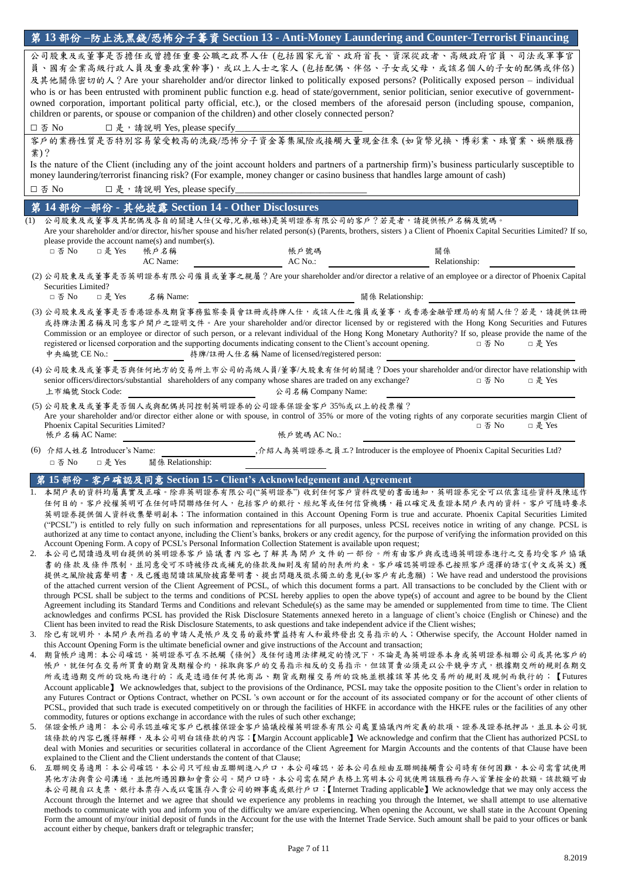|                                                                                                                            | 第 13 部份 –防止洗黑錢/恐怖分子籌資 Section 13 - Anti-Money Laundering and Counter-Terrorist Financing                                                                                                                                                                                                                                                                               |  |  |  |  |  |  |  |  |  |
|----------------------------------------------------------------------------------------------------------------------------|------------------------------------------------------------------------------------------------------------------------------------------------------------------------------------------------------------------------------------------------------------------------------------------------------------------------------------------------------------------------|--|--|--|--|--|--|--|--|--|
| 公司股東及或董事是否擔任或曾擔任重要公職之政界人仕 (包括國家元首、政府首長、資深從政者、高級政府官員、司法或軍事官<br>員、國有企業高級行政人員及重要政黨幹事),或以上人士之家人 (包括配偶、伴侶、子女或父母,或該名個人的子女的配偶或伴侶) |                                                                                                                                                                                                                                                                                                                                                                        |  |  |  |  |  |  |  |  |  |
|                                                                                                                            | 及其他關係密切的人? Are your shareholder and/or director linked to politically exposed persons? (Politically exposed person - individual                                                                                                                                                                                                                                        |  |  |  |  |  |  |  |  |  |
|                                                                                                                            | who is or has been entrusted with prominent public function e.g. head of state/government, senior politician, senior executive of government-                                                                                                                                                                                                                          |  |  |  |  |  |  |  |  |  |
|                                                                                                                            | owned corporation, important political party official, etc.), or the closed members of the aforesaid person (including spouse, companion,<br>children or parents, or spouse or companion of the children) and other closely connected person?                                                                                                                          |  |  |  |  |  |  |  |  |  |
|                                                                                                                            | □ 否 No<br>□是, 請說明 Yes, please specify_<br>客戶的業務性質是否特別容易蒙受較高的洗錢/恐怖分子資金籌集風險或接觸大量現金往來(如貨幣兌換、博彩業、珠寶業、娛樂服務                                                                                                                                                                                                                                                                  |  |  |  |  |  |  |  |  |  |
| 業)?                                                                                                                        |                                                                                                                                                                                                                                                                                                                                                                        |  |  |  |  |  |  |  |  |  |
|                                                                                                                            | Is the nature of the Client (including any of the joint account holders and partners of a partnership firm)'s business particularly susceptible to<br>money laundering/terrorist financing risk? (For example, money changer or casino business that handles large amount of cash)                                                                                     |  |  |  |  |  |  |  |  |  |
|                                                                                                                            | 口否 No<br>□是, 請說明 Yes, please specify_                                                                                                                                                                                                                                                                                                                                  |  |  |  |  |  |  |  |  |  |
|                                                                                                                            | 第14部份-部份 - 其他披露 Section 14 - Other Disclosures                                                                                                                                                                                                                                                                                                                         |  |  |  |  |  |  |  |  |  |
| (1)                                                                                                                        | 公司股東及或董事及其配偶及各自的關連人仕(父母,兄弟,姐妹)是英明證券有限公司的客戶?若是者,請提供帳戶名稱及號碼。<br>Are your shareholder and/or director, his/her spouse and his/her related person(s) (Parents, brothers, sisters ) a Client of Phoenix Capital Securities Limited? If so,                                                                                                                                  |  |  |  |  |  |  |  |  |  |
|                                                                                                                            | please provide the account name(s) and number(s).<br>□是 Yes<br>□ 否 No<br>帳戶名稱<br>帳戶號碼<br>關係<br>AC Name:<br>AC No.:<br>Relationship:                                                                                                                                                                                                                                    |  |  |  |  |  |  |  |  |  |
|                                                                                                                            | (2) 公司股東及或董事是否英明證券有限公司僱員或董事之親屬 ? Are your shareholder and/or director a relative of an employee or a director of Phoenix Capital                                                                                                                                                                                                                                       |  |  |  |  |  |  |  |  |  |
|                                                                                                                            | Securities Limited?<br>□ 是 Yes<br>□ 否 No<br>名稱 Name:<br>關係 Relationship:                                                                                                                                                                                                                                                                                               |  |  |  |  |  |  |  |  |  |
|                                                                                                                            | (3) 公司股東及或董事是否香港證券及期貨事務監察委員會註冊或持牌人仕,或該人仕之僱員或董事,或香港金融管理局的有關人仕?若是,請提供註冊                                                                                                                                                                                                                                                                                                  |  |  |  |  |  |  |  |  |  |
|                                                                                                                            | 或持牌法團名稱及同意客戶開戶之證明文件。Are your shareholder and/or director licensed by or registered with the Hong Kong Securities and Futures                                                                                                                                                                                                                                           |  |  |  |  |  |  |  |  |  |
|                                                                                                                            | Commission or an employee or director of such person, or a relevant individual of the Hong Kong Monetary Authority? If so, please provide the name of the<br>registered or licensed corporation and the supporting documents indicating consent to the Client's account opening.<br>□ 否 No<br>□ 是 Yes<br>中央編號 CE No.:<br>持牌/註冊人仕名稱 Name of licensed/registered person: |  |  |  |  |  |  |  |  |  |
|                                                                                                                            | (4) 公司股東及或董事是否與任何地方的交易所上市公司的高級人員/董事/大股東有任何的關連? Does your shareholder and/or director have relationship with                                                                                                                                                                                                                                                            |  |  |  |  |  |  |  |  |  |
|                                                                                                                            | senior officers/directors/substantial shareholders of any company whose shares are traded on any exchange?<br>□ 否 No<br>□ 是 Yes<br>上市編號 Stock Code:<br>公司名稱 Company Name:                                                                                                                                                                                              |  |  |  |  |  |  |  |  |  |
|                                                                                                                            | (5)公司股東及或董事是否個人或與配偶共同控制英明證券的公司證券保證金客戶35%或以上的投票權?<br>Are your shareholder and/or director either alone or with spouse, in control of 35% or more of the voting rights of any corporate securities margin Client of                                                                                                                                                      |  |  |  |  |  |  |  |  |  |
|                                                                                                                            | Phoenix Capital Securities Limited?<br>□ 否 No<br>□是 Yes<br>帳戶名稱 AC Name:<br>帳戶號碼 AC No.:                                                                                                                                                                                                                                                                               |  |  |  |  |  |  |  |  |  |
|                                                                                                                            | , 介紹人為英明證券之員工? Introducer is the employee of Phoenix Capital Securities Ltd?<br>(6) 介紹人姓名 Introducer's Name:                                                                                                                                                                                                                                                           |  |  |  |  |  |  |  |  |  |
|                                                                                                                            | 關係 Relationship:<br>□ 否 No<br>□是 Yes                                                                                                                                                                                                                                                                                                                                   |  |  |  |  |  |  |  |  |  |
|                                                                                                                            | 15 部份 - 客戶確認及同意 Section 15 - Client's Acknowledgement and Agreement                                                                                                                                                                                                                                                                                                    |  |  |  |  |  |  |  |  |  |
|                                                                                                                            | 1. 本開戶表的資料均屬真實及正確。除非英明證券有限公司("英明證券")收到任何客戶資料改變的書面通知,英明證券完全可以依靠這些資料及陳述作                                                                                                                                                                                                                                                                                                 |  |  |  |  |  |  |  |  |  |
|                                                                                                                            | 任何目的。客户授權英明可在任何時間聯絡任何人,包括客户的銀行、經紀等或任何信貸機構,籍以確定及查證本開户表內的資料。客户可隨時要求<br>英明證券提供個人資料收集聲明副本; The information contained in this Account Opening Form is true and accurate. Phoenix Capital Securities Limited                                                                                                                                                                 |  |  |  |  |  |  |  |  |  |
|                                                                                                                            | ("PCSL") is entitled to rely fully on such information and representations for all purposes, unless PCSL receives notice in writing of any change. PCSL is<br>authorized at any time to contact anyone, including the Client's banks, brokers or any credit agency, for the purpose of verifying the information provided on this                                      |  |  |  |  |  |  |  |  |  |
|                                                                                                                            | Account Opening Form. A copy of PCSL's Personal Information Collection Statement is available upon request;                                                                                                                                                                                                                                                            |  |  |  |  |  |  |  |  |  |
|                                                                                                                            | 2. 本公司已閱讀過及明白提供的英明證券客戶協議書內容也了解其為開戶文件的一部份。所有由客戶與或透過英明證券進行之交易均受客戶協議<br>書的條款及條件限制,並同意受可不時被修改或補充的條款及細則及有關的附表所約束。客戶確認英明證券已按照客戶選擇的語言(中文或英文) 獲                                                                                                                                                                                                                                |  |  |  |  |  |  |  |  |  |
|                                                                                                                            | 提供之風險披露聲明書,及已獲邀閱讀該風險披露聲明書、提出問題及徵求獨立的意見(如客戶有此意願); We have read and understood the provisions                                                                                                                                                                                                                                                                            |  |  |  |  |  |  |  |  |  |
|                                                                                                                            | of the attached current version of the Client Agreement of PCSL, of which this document forms a part. All transactions to be concluded by the Client with or<br>through PCSL shall be subject to the terms and conditions of PCSL hereby applies to open the above type(s) of account and agree to be bound by the Client                                              |  |  |  |  |  |  |  |  |  |
|                                                                                                                            | Agreement including its Standard Terms and Conditions and relevant Schedule(s) as the same may be amended or supplemented from time to time. The Client                                                                                                                                                                                                                |  |  |  |  |  |  |  |  |  |
|                                                                                                                            | acknowledges and confirms PCSL has provided the Risk Disclosure Statements annexed hereto in a language of client's choice (English or Chinese) and the<br>Client has been invited to read the Risk Disclosure Statements, to ask questions and take independent advice if the Client wishes;                                                                          |  |  |  |  |  |  |  |  |  |
|                                                                                                                            | 3. 除已有說明外,本開戶表所指名的申請人是帳戶及交易的最終實益持有人和最終發出交易指示的人;Otherwise specify, the Account Holder named in<br>this Account Opening Form is the ultimate beneficial owner and give instructions of the Account and transaction;                                                                                                                                                      |  |  |  |  |  |  |  |  |  |
|                                                                                                                            | 4. 期貨帳戶適用:本公司確認,英明證券可在不抵觸《條例》及任何適用法律規定的情況下,不論是為英明證券本身或英明證券相聯公司或其他客戶的                                                                                                                                                                                                                                                                                                   |  |  |  |  |  |  |  |  |  |
|                                                                                                                            | 帳戶,就任何在交易所買賣的期貨及期權合約,採取與客戶的交易指示相反的交易指示,但該買賣必須是以公平競爭方式,根據期交所的規則在期交<br>所或透過期交所的設施而進行的;或是透過任何其他商品、期貨或期權交易所的設施並根據該等其他交易所的規則及現例而執行的;【Futures                                                                                                                                                                                                                                |  |  |  |  |  |  |  |  |  |
|                                                                                                                            | Account applicable] We acknowledges that, subject to the provisions of the Ordinance, PCSL may take the opposite position to the Client's order in relation to                                                                                                                                                                                                         |  |  |  |  |  |  |  |  |  |
|                                                                                                                            | any Futures Contract or Options Contract, whether on PCSL's own account or for the account of its associated company or for the account of other clients of<br>PCSL, provided that such trade is executed competitively on or through the facilities of HKFE in accordance with the HKFE rules or the facilities of any other                                          |  |  |  |  |  |  |  |  |  |
|                                                                                                                            | commodity, futures or options exchange in accordance with the rules of such other exchange;                                                                                                                                                                                                                                                                            |  |  |  |  |  |  |  |  |  |
|                                                                                                                            | 5. 保證金帳戶適用:本公司承認並確定客戶已根據保證金客戶協議授權英明證券有限公司處置協議內所定義的款項、證券及證券抵押品,並且本公司就<br>該條款的內容已獲得解釋,及本公司明白該條款的內容; [Margin Account applicable] We acknowledge and confirm that the Client has authorized PCSL to                                                                                                                                                                        |  |  |  |  |  |  |  |  |  |
|                                                                                                                            | deal with Monies and securities or securities collateral in accordance of the Client Agreement for Margin Accounts and the contents of that Clause have been                                                                                                                                                                                                           |  |  |  |  |  |  |  |  |  |
|                                                                                                                            | explained to the Client and the Client understands the content of that Clause;<br>6. 互聯網交易適用:本公司確認,本公司只可經由互聯網進入戶口,本公司確認,若本公司在經由互聯網接觸貴公司時有任何困難,本公司需嘗試使用                                                                                                                                                                                                                 |  |  |  |  |  |  |  |  |  |
|                                                                                                                            | 其他方法與貴公司溝通,並把所遇困難知會貴公司。開戶口時,本公司需在開戶表格上寫明本公司就使用該服務而存入首筆按金的款額。該款額可由<br>本公司親自以支票、銀行本票存入或以電匯存入貴公司的辦事處或銀行戶口;【Internet Trading applicable】We acknowledge that we may only access the                                                                                                                                                                                         |  |  |  |  |  |  |  |  |  |
|                                                                                                                            |                                                                                                                                                                                                                                                                                                                                                                        |  |  |  |  |  |  |  |  |  |

本公司親自以支票、銀行本票存入或以電匯存入貴公司的辦事處或銀行戶口;【Internet Trading applicable】We acknowledge that we may only access the Account through the Internet and we agree that should we experience any problems in reaching you through the Internet, we shall attempt to use alternative methods to communicate with you and inform you of the difficulty we am/are experiencing. When opening the Account, we shall state in the Account Opening Form the amount of my/our initial deposit of funds in the Account for the use with the Internet Trade Service. Such amount shall be paid to your offices or bank account either by cheque, bankers draft or telegraphic transfer;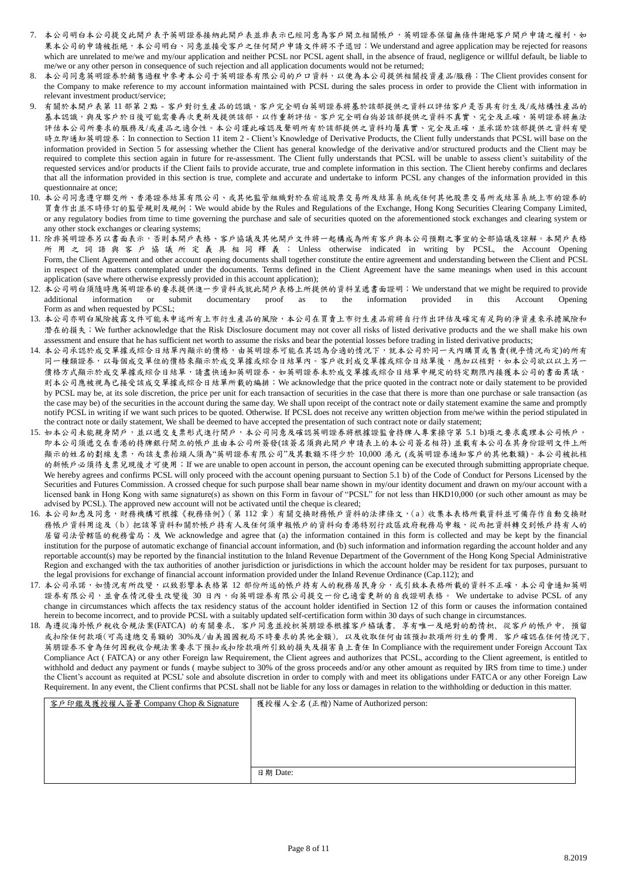- 7. 本公司明白本公司提交此開戶表予英明證券接納此開戶表並非表示已經同意為客戶開立相關帳戶,英明證券保留無條件謝絕客戶開戶申請之權利,如 果本公司的申請被拒絕,本公司明白、同意並接受客戶之任何開戶申請文件將不予退回; We understand and agree application may be rejected for reasons which are unrelated to me/we and my/our application and neither PCSL nor PCSL agent shall, in the absence of fraud, negligence or willful default, be liable to me/we or any other person in consequence of such rejection and all application documents would not be returned;
- 8. 本公司同意英明證券於銷售過程中參考本公司于英明證券有限公司的戶口資料,以便為本公司提供相關投資產品/服務;The Client provides consent for the Company to make reference to my account information maintained with PCSL during the sales process in order to provide the Client with information in relevant investment product/service;
- 9. 有關於本開戶表第 11 部第 2點 客戶對衍生產品的認識,客戶完全明白英明證券將基於該部提供之資料以評估客戶是否具有衍生及/或結構性產品的 基本認識,與及客戶於日後可能需要再次更新及提供該部,以作重新評估。客戶完全明白倘若該部提供之資料不真實、完全及正確,英明證券將無法 評估本公司所要求的服務及/或產品之適合性。本公司謹此確認及聲明所有於該部提供之資料均屬真實、完全及正確,並承諾於該部提供之資料有變 時立即通知英明證券; In connection to Section 11 item 2 - Client's Knowledge of Derivative Products, the Client fully understands that PCSL will base on the information provided in Section 5 for assessing whether the Client has general knowledge of the derivative and/or structured products and the Client may be required to complete this section again in future for re-assessment. The Client fully understands that PCSL will be unable to assess client's suitability of the requested services and/or products if the Client fails to provide accurate, true and complete information in this section. The Client hereby confirms and declares that all the information provided in this section is true, complete and accurate and undertake to inform PCSL any changes of the information provided in this questionnaire at once;
- 10. 本公司同意遵守聯交所、香港證券結算有限公司、或其他監管組織對於在前述股票交易所及結算系統或任何其他股票交易所或結算系統上市的證券的 買賣作出並不時修訂的監管規則及規例;We would abide by the Rules and Regulations of the Exchange, Hong Kong Securities Clearing Company Limited, or any regulatory bodies from time to time governing the purchase and sale of securities quoted on the aforementioned stock exchanges and clearing system or any other stock exchanges or clearing systems;
- 11. 除非英明證券另以書面表示,否則本開戶表格、客戶協議及其他開戶文件將一起構成為所有客戶與本公司預期之事宜的全部協議及諒解。本開戶表格 所 用 之 詞 語 與 客 戶 協 議 所 定 義 具 相 同 釋 義 ; Unless otherwise indicated in writing by PCSL, the Account Opening Form, the Client Agreement and other account opening documents shall together constitute the entire agreement and understanding between the Client and PCSL in respect of the matters contemplated under the documents. Terms defined in the Client Agreement have the same meanings when used in this account application (save where otherwise expressly provided in this account application);
- 12. 本公司明白須隨時應英明證券的要求提供進一步資料或就此開戶表格上所提供的資料呈遞書面證明;We understand that we might be required to provide additional information or submit documentary proof as to the information provided in this Account Opening Form as and when requested by PCSL;
- 13. 本公司亦明白風險披露文件可能未申述所有上市衍生產品的風險,本公司在買賣上市衍生產品前將自行作出評估及確定有足夠的淨資產來承擔風險和 潛在的損失; We further acknowledge that the Risk Disclosure document may not cover all risks of listed derivative products and the we shall make his own assessment and ensure that he has sufficient net worth to assume the risks and bear the potential losses before trading in listed derivative products;
- 14. 本公司承認於成交單據或綜合日結單內顯示的價格,由英明證券可能在其認為合適的情況下,就本公司於同一天內購買或售賣(視乎情況而定)的所有 同一種類證券,以每個成交單位的價格來顯示於成交單據或綜合日結單內。客戶收到成交單據或綜合日結單後,應加以核對,如本公司欲以以上另一 價格方式顯示於成交單據或綜合日結單,請盡快通知英明證券。如英明證券未於成交單據或綜合日結單中規定的特定期限內接獲本公司的書面異議, 則本公司應被視為已接受該成交單據或綜合日結單所載的編排;We acknowledge that the price quoted in the contract note or daily statement to be provided by PCSL may be, at its sole discretion, the price per unit for each transaction of securities in the case that there is more than one purchase or sale transaction (as the case may be) of the securities in the account during the same day. We shall upon receipt of the contract note or daily statement examine the same and promptly notify PCSL in writing if we want such prices to be quoted. Otherwise. If PCSL does not receive any written objection from me/we within the period stipulated in the contract note or daily statement, We shall be deemed to have accepted the presentation of such contract note or daily statement;
- 15. 如本公司未能親身開戶,並以遞交支票形式進行開戶,本公司同意及確認英明證券將根據證監會持牌人專業操守第 5.1 b)項之要求處理本公司帳戶。 即本公司須遞交在香港的持牌銀行開立的帳戶並由本公司所簽發(該簽名須與此開戶申請表上的本公司簽名相符) 並載有本公司在其身份證明文件上所 顯示的姓名的劃線支票,而該支票抬頭人須為"英明證券有限公司"及其數額不得少於 10,000 港元 (或英明證券通知客戶的其他數額)。本公司被批核 的新帳戶必須待支票兌現後才可使用; If we are unable to open account in person, the account opening can be executed through submitting appropriate cheque. We hereby agrees and confirms PCSL will only proceed with the account opening pursuant to Section 5.1 b) of the Code of Conduct for Persons Licensed by the Securities and Futures Commission. A crossed cheque for such purpose shall bear name shown in my/our identity document and drawn on my/our account with a licensed bank in Hong Kong with same signature(s) as shown on this Form in favour of "PCSL" for not less than HKD10,000 (or such other amount as may be advised by PCSL). The approved new account will not be activated until the cheque is cleared;
- 16. 本公司知悉及同意,財務機構可根據《稅務條例》(第 112 章)有關交換財務帳戶資料的法律條文,(a)收集本表格所載資料並可備存作自動交換財 務帳戶資料用途及(b)把該等資料和關於帳戶持有人及任何須申報帳戶的資料向香港特別行政區政府稅務局申報,從而把資料轉交到帳戶持有人的 居留司法管轄區的稅務當局;及 We acknowledge and agree that (a) the information contained in this form is collected and may be kept by the financial institution for the purpose of automatic exchange of financial account information, and (b) such information and information regarding the account holder and any reportable account(s) may be reported by the financial institution to the Inland Revenue Department of the Government of the Hong Kong Special Administrative Region and exchanged with the tax authorities of another jurisdiction or jurisdictions in which the account holder may be resident for tax purposes, pursuant to the legal provisions for exchange of financial account information provided under the Inland Revenue Ordinance (Cap.112); and
- 17. 本公司承諾,如情況有所改變,以致影響本表格第 12 部份所述的帳戶持有人的稅務居民身分,或引致本表格所載的資料不正確,本公司會通知英明 證券有限公司,並會在情況發生改變後 30 日內,向英明證券有限公司提交一份已適當更新的自我證明表格。 We undertake to advise PCSL of any change in circumstances which affects the tax residency status of the account holder identified in Section 12 of this form or causes the information contained herein to become incorrect, and to provide PCSL with a suitably updated self-certification form within 30 days of such change in circumstances.
- 18. 為遵從海外帳戶稅收合規法案(FATCA) 的有關要求, 客戶同意並授枳英朋證券根據客戶栛議書, 享有唯一及絕對的酌情枳, 從客戶的帳戶中, 預留 或扣除任何款項(可高達總交易額的 30%及/由美國國稅局不時要求的其他金額), 以及收取任何由該預扣款項所衍生的費用. 客戶確認在任何情況下, 英朋證券不會為任何因稅收合規法案要求下預扣或扣除款項所引致的損失及損害負上責任 In Compliance with the requirement under Foreign Account Tax Compliance Act ( FATCA) or any other Foreign law Requirement, the Client agrees and authorizes that PCSL, according to the Client agreement, is entitled to withhold and deduct any payment or funds (maybe subject to 30% of the gross proceeds and/or any other amount as requited by IRS from time to time.) under the Client's account as requited at PCSL' sole and absolute discretion in order to comply with and meet its obligations under FATCA or any other Foreign Law Requirement. In any event, the Client confirms that PCSL shall not be liable for any loss or damages in relation to the withholding or deduction in this matter.

| 客戶印鑑及獲授權人簽署 Company Chop & Signature | 獲授權人全名 (正楷) Name of Authorized person: |
|--------------------------------------|----------------------------------------|
|                                      |                                        |
|                                      |                                        |
|                                      |                                        |
|                                      |                                        |
|                                      |                                        |
|                                      | 日期 Date:                               |
|                                      |                                        |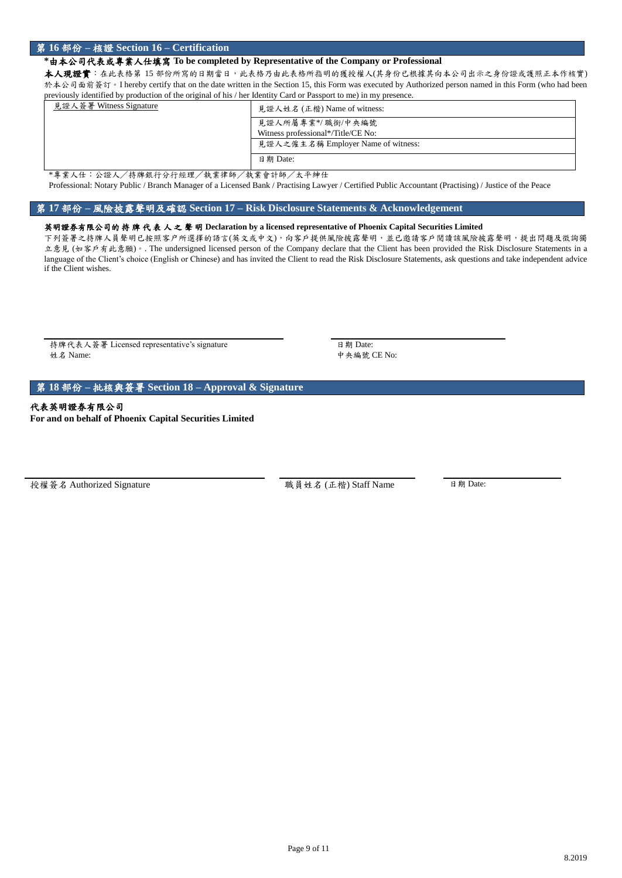### 第 **16** 部份 **–** 核證 **Section 16 – Certification**

### **\***由本公司代表或專業人仕填寫 **To be completed by Representative of the Company or Professional**

本人現證實:在此表格第 15 部份所寫的日期當日,此表格乃由此表格所指明的獲授權人(其身份已根據其向本公司出示之身份證或護照正本作核實) 於本公司面前簽訂。I hereby certify that on the date written in the Section 15, this Form was executed by Authorized person named in this Form (who had been previously identified by production of the original of his / her Identity Card or Passport to me) in my presence.

| 見證人簽署 Witness Signature | 見證人姓名 (正楷) Name of witness:        |  |  |  |  |
|-------------------------|------------------------------------|--|--|--|--|
|                         | 見證人所屬專業*/職銜/中央編號                   |  |  |  |  |
|                         | Witness professional*/Title/CE No: |  |  |  |  |
|                         | 見證人之僱主名稱 Employer Name of witness: |  |  |  |  |
|                         | 日期 Date:                           |  |  |  |  |

\*專業人仕:公證人/持牌銀行分行經理/執業律師/執業會計師/太平紳仕 Professional: Notary Public / Branch Manager of a Licensed Bank / Practising Lawyer / Certified Public Accountant (Practising) / Justice of the Peace

### 第 **17** 部份 **–** 風險披露聲明及確認 **Section 17 – Risk Disclosure Statements & Acknowledgement**

### 英明證券有限公司的 持 牌 代 表 人 之 聲 明 **Declaration by a licensed representative of Phoenix Capital Securities Limited**

下列簽署之持牌人員聲明已按照客户所選擇的語言(英文或中文),向客戶提供風險披露聲明,並已邀請客戶閱讀該風險披露聲明,提出問題及徵詢獨 立意見 (如客戶有此意願)。. The undersigned licensed person of the Company declare that the Client has been provided the Risk Disclosure Statements in a language of the Client's choice (English or Chinese) and has invited the Client to read the Risk Disclosure Statements, ask questions and take independent advice if the Client wishes.

持牌代表人簽署 Licensed representative's signature <br>
日期 Date: 姓名 Name: 中央編號 CE No:

第 **18** 部份 **–** 批核與簽署 **Section 18 – Approval & Signature**

代表英明證券有限公司 **For and on behalf of Phoenix Capital Securities Limited**

授權簽名 Authorized Signature 職員姓名 (正楷) Staff Name 日期 Date: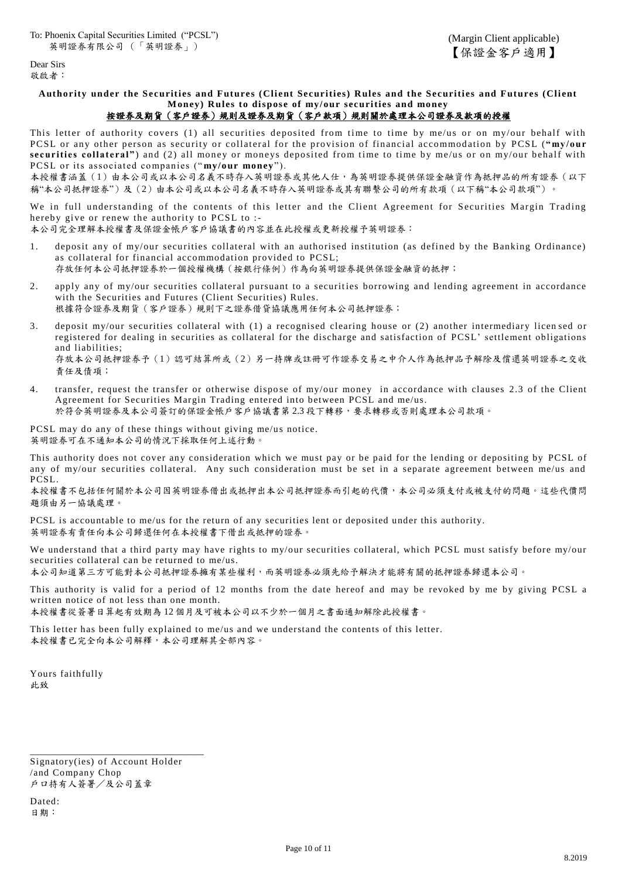Dear Sirs 敬啟者:

# **Authority under the Securities and Futures (Client Securities) Rules and the Securities and Futures (Client Money) Rules to dispose of my/our securities and money**

# 按證券及期貨(客戶證券)規則及證券及期貨(客戶款項)規則關於處理本公司證券及款項的授權

This letter of authority covers (1) all securities deposited from time to time by me/us or on my/our behalf with PCSL or any other person as security or collateral for the provision of financial accommodation by PCSL ("my/our securities collateral") and (2) all money or moneys deposited from time to time by me/us or on my/our behalf with PCSL or its associated co mpanies (" **my/our money** ").

本授權書涵蓋(1)由本公司或以本公司名義不時存入英明證券或其他人仕,為英明證券提供保證金融資作為抵押品的所有證券(以下 稱"本公司抵押證券")及(2)由本公司或以本公司名義不時存入英明證券或其有聯繫公司的所有款項(以下稱"本公司款項")。

We in full understanding of the contents of this letter and the Client Agreement for Securities Margin Trading hereby give or renew the authority to PCSL to :-

本公司完全理解本授權書及保證金帳戶客戶協議書的內容並在此授權或更新授權予英明證券:

- 1. deposit any of my/our securities collateral with an authorised institution (as defined by the Banking Ordinance) as collateral for financial accommodation provided to PCSL; 存放任何本公司抵押證券於一個授權機構(按銀行條例)作為向英明證券提供保證金融資的抵押;
- 2. apply any of my/our securities collateral pursuant to a securities borrowing and lending agreement in accordance with the Securities and Futures (Client Securities) Rules. 根據符合證券及期貨(客戶證券)規則下之證券借貸協議應用任何本公司抵押證券;
- 3. deposit my/our securities collateral with (1) a recognised clearing house or (2) another intermediary licen sed or registered for dealing in securities as collateral for the discharge and satisfaction of PCSL' settlement obligations and liabilities; 存放本公司抵押證券予(1)認可結算所或(2)另一持牌或註冊可作證券交易之中介人作為抵押品予解除及償還英明證券之交收 責任及債項;
- 4. transfer, request the transfer or otherwise dispose of my/our money in accordance with clauses 2.3 of the Client Agreement for Securities Margin Trading entered into between PCSL and me/us. 於符合英明證券及本公司簽訂的保證金帳戶客戶協議書第 2.3 段下轉移,要求轉移或否則處理本公司款項。

PCSL may do any of these things without giving me/us notice. 英明證券可在不通知本公司的情況下採取任何上述行動。

This authority does not cover any consideration which we must pay or be paid for the lending or depositing by PCSL of any of my/our securities collateral. Any such consideration must be set in a separate agreement between me/us and PCSL.

本授權書不包括任何關於本公司因英明證券相出本公司抵押證券而引起的代價,本公司必須支付或被支付的問題。這些代價問 題須由另一協議處理。

PCSL is accountable to me/us for the return of any securities lent or deposited under this authority. 英明證券有責任向本公司歸還任何在本授權書下借出或抵押的證券。

We understand that a third party may have rights to my/our securities collateral, which PCSL must satisfy before my/our securities collateral can be returned to me/us.

本公司知道第三方可能對本公司抵押證券擁有某些權利,而英明證券必須先給予解決才能將有關的抵押證券歸還本公司。

This authority is valid for a period of 12 months from the date hereof and may be revoked by me by giving PCSL a written notice of not less than one month.

本授權書從簽署日算起有效期為 12 個月及可被本公司以不少於一個月之書面通知解除此授權書。

This letter has been fully explained to me/us and we understand the contents of this letter. 本授權書已完全向本公司解釋,本公司理解其全部內容。

Yours faithfully 此致

Signatory(ies) of Account Holder /and Company Chop 戶口持有人簽署/及公司蓋章

\_\_\_\_\_\_\_\_\_\_\_\_\_\_\_\_\_\_\_\_\_\_\_\_\_\_\_\_\_\_\_\_\_\_\_\_\_

Dated: 日期: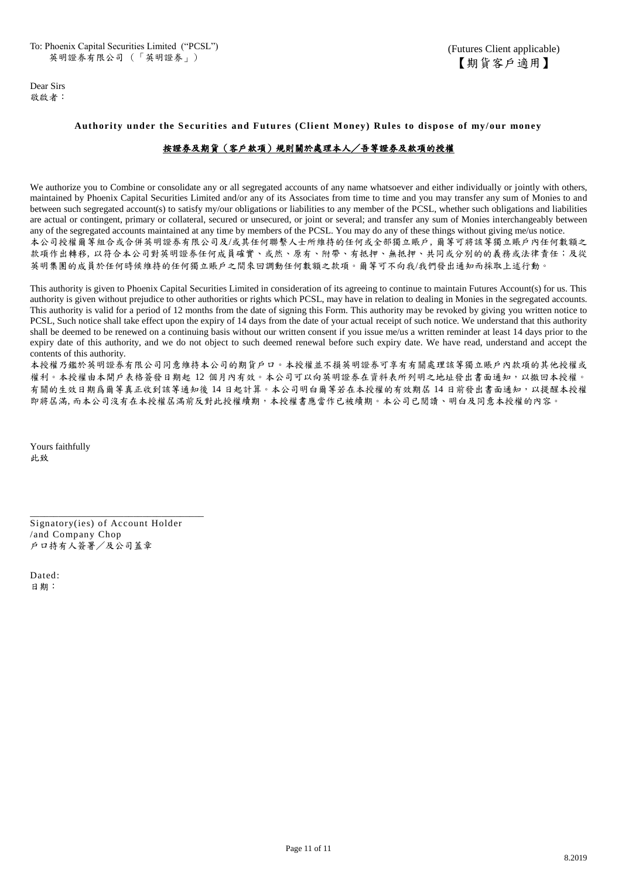Dear Sirs 敬啟者:

### **Authority under the Securities and Futures (Client Money) Rules to dispose of my/our money**

## 按證券及期貨(客戶款項)規則關於處理本人/吾等證券及款項的授權

We authorize you to Combine or consolidate any or all segregated accounts of any name whatsoever and either individually or jointly with others, maintained by Phoenix Capital Securities Limited and/or any of its Associates from time to time and you may transfer any sum of Monies to and between such segregated account(s) to satisfy my/our obligations or liabilities to any member of the PCSL, whether such obligations and liabilities are actual or contingent, primary or collateral, secured or unsecured, or joint or several; and transfer any sum of Monies interchangeably between any of the segregated accounts maintained at any time by members of the PCSL. You may do any of these things without giving me/us notice. 本公司授權爾等組合或合併英明證券有限公司及/或其任何聯繫人士所維持的任何或全部獨立賬戶, 爾等可將該等獨立賬戶內任何數額之 款項作出轉移, 以符合本公司對英明證券任何成員確實、或然、原有、附帶、有抵押、無抵押、共同或分別的的義務或法律責任;及從 英明集團的成員於任何時候維持的任何獨立賬戶之間來回調動任何數額之款項。爾等可不向我/我們發出通知而採取上述行動。

This authority is given to Phoenix Capital Securities Limited in consideration of its agreeing to continue to maintain Futures Account(s) for us. This authority is given without prejudice to other authorities or rights which PCSL, may have in relation to dealing in Monies in the segregated accounts. This authority is valid for a period of 12 months from the date of signing this Form. This authority may be revoked by giving you written notice to PCSL, Such notice shall take effect upon the expiry of 14 days from the date of your actual receipt of such notice. We understand that this authority shall be deemed to be renewed on a continuing basis without our written consent if you issue me/us a written reminder at least 14 days prior to the expiry date of this authority, and we do not object to such deemed renewal before such expiry date. We have read, understand and accept the contents of this authority.

本授權乃鑑於英明證券有限公司同意維持本公司的期貨戶口。本授權並不損英明證券可享有有關處理該等獨立賬戶內款項的其他授權或 權利。本授權由本開戶表格簽發日期起 12 個月內有效。本公司可以向英明證券在資料表所列明之地址發出書面通知,以撤回本授權。 有關的生效日期爲爾等真正收到該等通知後 14 日起計算。本公司明白爾等若在本授權的有效期屆 14 日前發出書面通知,以提醒本授權 即將屆滿, 而本公司沒有在本授權屆滿前反對此授權續期,本授權書應當作已被續期。本公司已閱讀、明白及同意本授權的內容。

Yours faithfully 此致

Signatory(ies) of Account Holder /and Company Chop 戶口持有人簽署/及公司蓋章

\_\_\_\_\_\_\_\_\_\_\_\_\_\_\_\_\_\_\_\_\_\_\_\_\_\_\_\_\_\_\_\_\_\_\_\_\_

Dated: 日期: